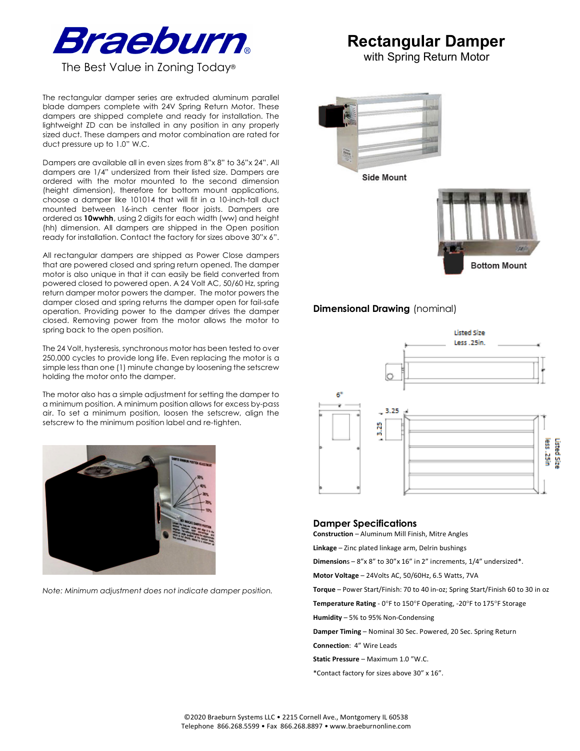

The rectangular damper series are extruded aluminum parallel blade dampers complete with 24V Spring Return Motor. These dampers are shipped complete and ready for installation. The lightweight ZD can be installed in any position in any properly sized duct. These dampers and motor combination are rated for duct pressure up to 1.0" W.C.

Dampers are available all in even sizes from 8"x 8" to 36"x 24". All dampers are 1/4" undersized from their listed size. Dampers are ordered with the motor mounted to the second dimension (height dimension), therefore for bottom mount applications, choose a damper like 101014 that will fit in a 10-inch-tall duct mounted between 16-inch center floor joists. Dampers are ordered as **10wwhh**, using 2 digits for each width (ww) and height (hh) dimension. All dampers are shipped in the Open position ready for installation. Contact the factory for sizes above 30"x 6".

All rectangular dampers are shipped as Power Close dampers that are powered closed and spring return opened. The damper motor is also unique in that it can easily be field converted from powered closed to powered open. A 24 Volt AC, 50/60 Hz, spring return damper motor powers the damper. The motor powers the damper closed and spring returns the damper open for fail-safe operation. Providing power to the damper drives the damper closed. Removing power from the motor allows the motor to spring back to the open position.

The 24 Volt, hysteresis, synchronous motor has been tested to over 250,000 cycles to provide long life. Even replacing the motor is a simple less than one (1) minute change by loosening the setscrew holding the motor onto the damper.

The motor also has a simple adjustment for setting the damper to a minimum position. A minimum position allows for excess by-pass air. To set a minimum position, loosen the setscrew, align the setscrew to the minimum position label and re-tighten.



*Note: Minimum adjustment does not indicate damper position.*

# **Rectangular Damper**

with Spring Return Motor



## **Dimensional Drawing** (nominal)



### **Damper Specifications**

**Construction** – Aluminum Mill Finish, Mitre Angles

**Linkage** – Zinc plated linkage arm, Delrin bushings

**Dimension**s – 8"x 8" to 30"x 16" in 2" increments, 1/4" undersized\*.

**Motor Voltage** – 24Volts AC, 50/60Hz, 6.5 Watts, 7VA

**Torque** – Power Start/Finish: 70 to 40 in-oz; Spring Start/Finish 60 to 30 in oz

**Temperature Rating** - 0°F to 150°F Operating, -20°F to 175°F Storage

**Humidity** – 5% to 95% Non-Condensing

**Damper Timing** – Nominal 30 Sec. Powered, 20 Sec. Spring Return

**Connection**: 4" Wire Leads

**Static Pressure** – Maximum 1.0 "W.C.

\*Contact factory for sizes above 30" x 16".